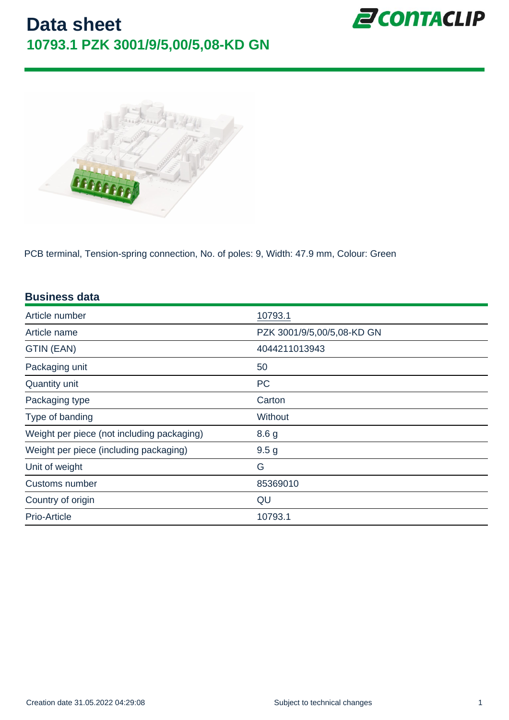PCB terminal, Tension-spring connection, No. of poles: 9, Width: 47.9 mm, Colour: Green

| <b>Business data</b>                       |                            |
|--------------------------------------------|----------------------------|
| Article number                             | 10793.1                    |
| Article name                               | PZK 3001/9/5,00/5,08-KD GN |
| GTIN (EAN)                                 | 4044211013943              |
| Packaging unit                             | 50                         |
| Quantity unit                              | <b>PC</b>                  |
| Packaging type                             | Carton                     |
| Type of banding                            | Without                    |
| Weight per piece (not including packaging) | 8.6 g                      |
| Weight per piece (including packaging)     | 9.5 <sub>g</sub>           |
| Unit of weight                             | G                          |
| Customs number                             | 85369010                   |
| Country of origin                          | QU                         |
| Prio-Article                               | 10793.1                    |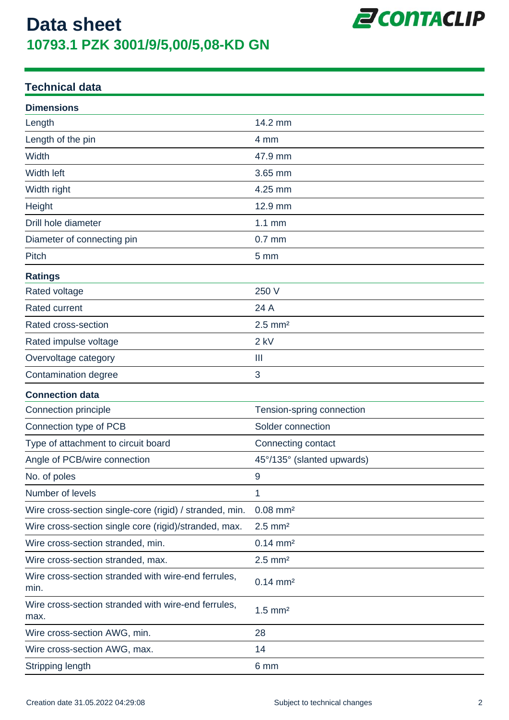

#### **Technical data**

| <b>Dimensions</b>                                           |                            |
|-------------------------------------------------------------|----------------------------|
| Length                                                      | 14.2 mm                    |
| Length of the pin                                           | 4 mm                       |
| Width                                                       | 47.9 mm                    |
| <b>Width left</b>                                           | 3.65 mm                    |
| Width right                                                 | 4.25 mm                    |
| Height                                                      | 12.9 mm                    |
| Drill hole diameter                                         | $1.1$ mm                   |
| Diameter of connecting pin                                  | $0.7$ mm                   |
| Pitch                                                       | 5 <sub>mm</sub>            |
| <b>Ratings</b>                                              |                            |
| Rated voltage                                               | 250 V                      |
| <b>Rated current</b>                                        | 24 A                       |
| Rated cross-section                                         | $2.5$ mm <sup>2</sup>      |
| Rated impulse voltage                                       | $2$ kV                     |
| Overvoltage category                                        | $\mathbf{III}$             |
| Contamination degree                                        | 3                          |
| <b>Connection data</b>                                      |                            |
| Connection principle                                        | Tension-spring connection  |
| Connection type of PCB                                      | Solder connection          |
| Type of attachment to circuit board                         | Connecting contact         |
| Angle of PCB/wire connection                                | 45°/135° (slanted upwards) |
| No. of poles                                                | $9$                        |
| Number of levels                                            | 1                          |
| Wire cross-section single-core (rigid) / stranded, min.     | $0.08$ mm <sup>2</sup>     |
| Wire cross-section single core (rigid)/stranded, max.       | $2.5$ mm <sup>2</sup>      |
| Wire cross-section stranded, min.                           | $0.14 \, \text{mm}^2$      |
| Wire cross-section stranded, max.                           | $2.5$ mm <sup>2</sup>      |
| Wire cross-section stranded with wire-end ferrules,<br>min. | $0.14 \, \text{mm}^2$      |
| Wire cross-section stranded with wire-end ferrules,<br>max. | $1.5$ mm <sup>2</sup>      |
| Wire cross-section AWG, min.                                | 28                         |
| Wire cross-section AWG, max.                                | 14                         |
| <b>Stripping length</b>                                     | 6 mm                       |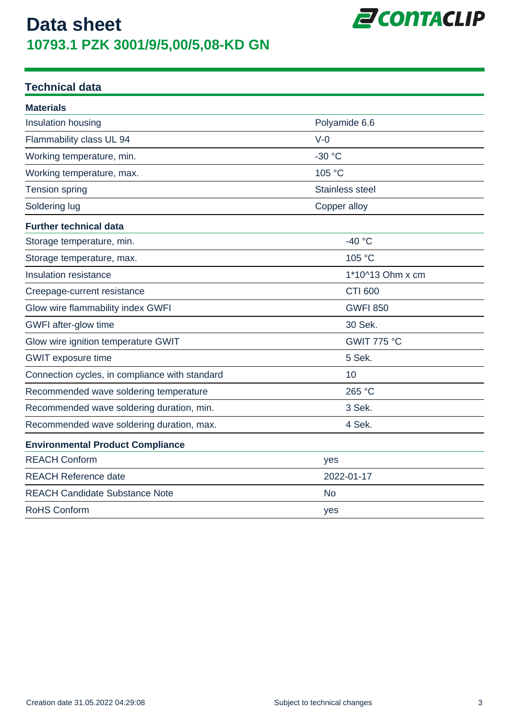

#### **Technical data**

| <b>Materials</b>                               |                        |  |
|------------------------------------------------|------------------------|--|
| Insulation housing                             | Polyamide 6.6          |  |
| Flammability class UL 94                       | $V-0$                  |  |
| Working temperature, min.                      | -30 °C                 |  |
| Working temperature, max.                      | 105 °C                 |  |
| <b>Tension spring</b>                          | <b>Stainless steel</b> |  |
| Soldering lug                                  | Copper alloy           |  |
| <b>Further technical data</b>                  |                        |  |
| Storage temperature, min.                      | $-40$ °C               |  |
| Storage temperature, max.                      | 105 °C                 |  |
| Insulation resistance                          | 1*10^13 Ohm x cm       |  |
| Creepage-current resistance                    | <b>CTI 600</b>         |  |
| Glow wire flammability index GWFI              | <b>GWFI 850</b>        |  |
| GWFI after-glow time                           | 30 Sek.                |  |
| Glow wire ignition temperature GWIT            | GWIT 775 °C            |  |
| <b>GWIT</b> exposure time                      | 5 Sek.                 |  |
| Connection cycles, in compliance with standard | 10                     |  |
| Recommended wave soldering temperature         | 265 °C                 |  |
| Recommended wave soldering duration, min.      | 3 Sek.                 |  |
| Recommended wave soldering duration, max.      | 4 Sek.                 |  |
| <b>Environmental Product Compliance</b>        |                        |  |
| <b>REACH Conform</b>                           | yes                    |  |
| <b>REACH Reference date</b>                    | 2022-01-17             |  |
| <b>REACH Candidate Substance Note</b>          | <b>No</b>              |  |
| <b>RoHS Conform</b>                            | yes                    |  |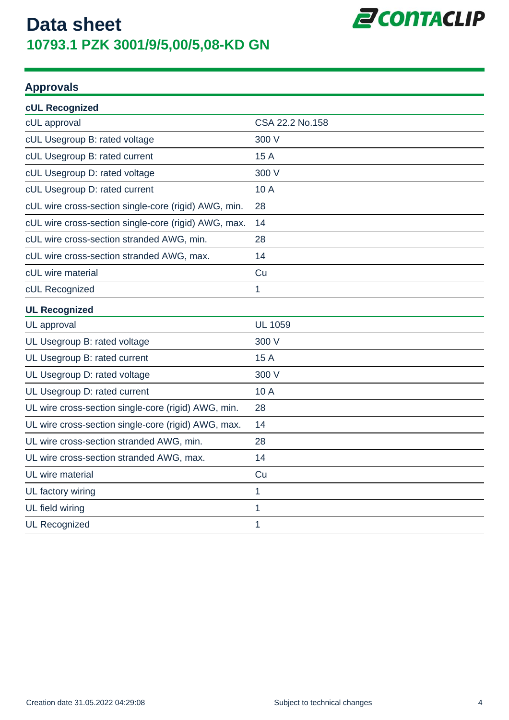

#### **Approvals**

| cUL Recognized                                       |                 |
|------------------------------------------------------|-----------------|
| cUL approval                                         | CSA 22.2 No.158 |
| cUL Usegroup B: rated voltage                        | 300 V           |
| cUL Usegroup B: rated current                        | 15 A            |
| cUL Usegroup D: rated voltage                        | 300 V           |
| cUL Usegroup D: rated current                        | 10 A            |
| cUL wire cross-section single-core (rigid) AWG, min. | 28              |
| cUL wire cross-section single-core (rigid) AWG, max. | 14              |
| cUL wire cross-section stranded AWG, min.            | 28              |
| cUL wire cross-section stranded AWG, max.            | 14              |
| cUL wire material                                    | Cu              |
| cUL Recognized                                       | 1               |
| <b>UL Recognized</b>                                 |                 |
| UL approval                                          | <b>UL 1059</b>  |
| UL Usegroup B: rated voltage                         | 300 V           |
| UL Usegroup B: rated current                         | 15 A            |
| UL Usegroup D: rated voltage                         | 300 V           |
| UL Usegroup D: rated current                         | 10 A            |
| UL wire cross-section single-core (rigid) AWG, min.  | 28              |
| UL wire cross-section single-core (rigid) AWG, max.  | 14              |
| UL wire cross-section stranded AWG, min.             | 28              |
| UL wire cross-section stranded AWG, max.             | 14              |
| UL wire material                                     | Cu              |
| UL factory wiring                                    | 1               |
| UL field wiring                                      | 1               |
| <b>UL Recognized</b>                                 | 1               |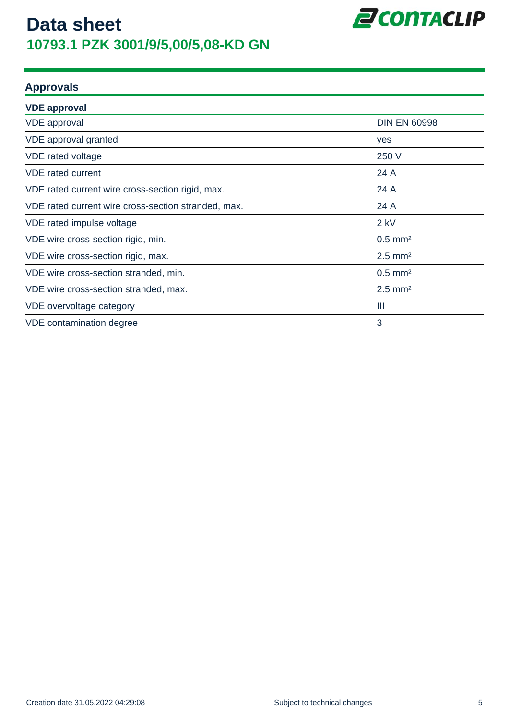

#### **Approvals**

| <b>VDE</b> approval                                 |                       |
|-----------------------------------------------------|-----------------------|
| <b>VDE</b> approval                                 | <b>DIN EN 60998</b>   |
| VDE approval granted                                | yes                   |
| VDE rated voltage                                   | 250 V                 |
| <b>VDE</b> rated current                            | 24 A                  |
| VDE rated current wire cross-section rigid, max.    | 24 A                  |
| VDE rated current wire cross-section stranded, max. | 24 A                  |
| VDE rated impulse voltage                           | $2$ kV                |
| VDE wire cross-section rigid, min.                  | $0.5$ mm <sup>2</sup> |
| VDE wire cross-section rigid, max.                  | $2.5$ mm <sup>2</sup> |
| VDE wire cross-section stranded, min.               | $0.5$ mm <sup>2</sup> |
| VDE wire cross-section stranded, max.               | $2.5$ mm <sup>2</sup> |
| VDE overvoltage category                            | Ш                     |
| VDE contamination degree                            | 3                     |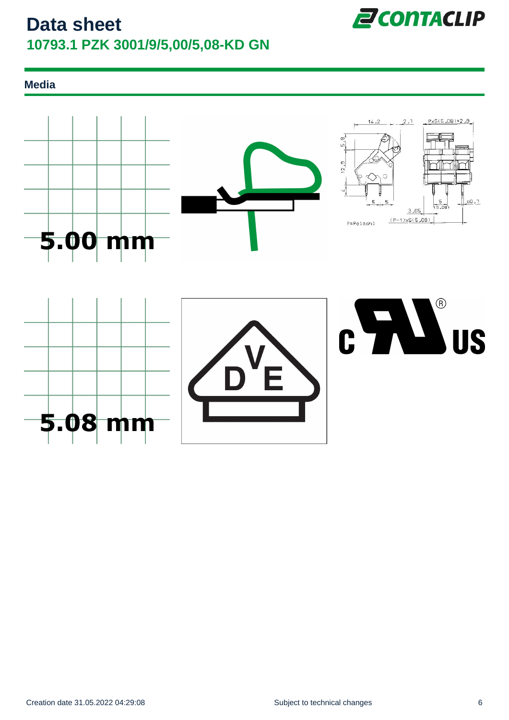

#### **Media**